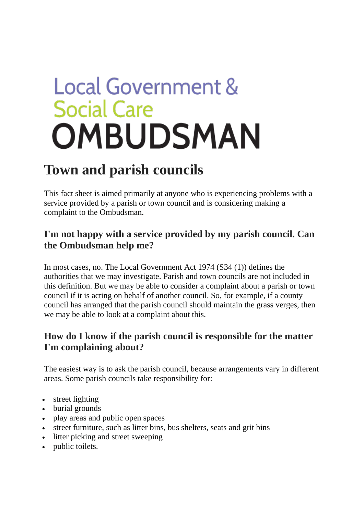# **Local Government & Social Care** OMBUDSMAN

# **Town and parish councils**

This fact sheet is aimed primarily at anyone who is experiencing problems with a service provided by a parish or town council and is considering making a complaint to the Ombudsman.

# **I'm not happy with a service provided by my parish council. Can the Ombudsman help me?**

In most cases, no. The Local Government Act 1974 (S34 (1)) defines the authorities that we may investigate. Parish and town councils are not included in this definition. But we may be able to consider a complaint about a parish or town council if it is acting on behalf of another council. So, for example, if a county council has arranged that the parish council should maintain the grass verges, then we may be able to look at a complaint about this.

# **How do I know if the parish council is responsible for the matter I'm complaining about?**

The easiest way is to ask the parish council, because arrangements vary in different areas. Some parish councils take responsibility for:

- street lighting
- burial grounds
- play areas and public open spaces
- street furniture, such as litter bins, bus shelters, seats and grit bins
- litter picking and street sweeping
- public toilets.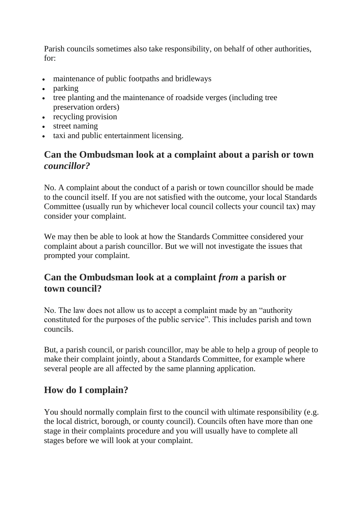Parish councils sometimes also take responsibility, on behalf of other authorities, for:

- maintenance of public footpaths and bridleways
- parking
- tree planting and the maintenance of roadside verges (including tree preservation orders)
- recycling provision
- street naming
- taxi and public entertainment licensing.

#### **Can the Ombudsman look at a complaint about a parish or town**  *councillor?*

No. A complaint about the conduct of a parish or town councillor should be made to the council itself. If you are not satisfied with the outcome, your local Standards Committee (usually run by whichever local council collects your council tax) may consider your complaint.

We may then be able to look at how the Standards Committee considered your complaint about a parish councillor. But we will not investigate the issues that prompted your complaint.

## **Can the Ombudsman look at a complaint** *from* **a parish or town council?**

No. The law does not allow us to accept a complaint made by an "authority constituted for the purposes of the public service". This includes parish and town councils.

But, a parish council, or parish councillor, may be able to help a group of people to make their complaint jointly, about a Standards Committee, for example where several people are all affected by the same planning application.

## **How do I complain?**

You should normally complain first to the council with ultimate responsibility (e.g. the local district, borough, or county council). Councils often have more than one stage in their complaints procedure and you will usually have to complete all stages before we will look at your complaint.